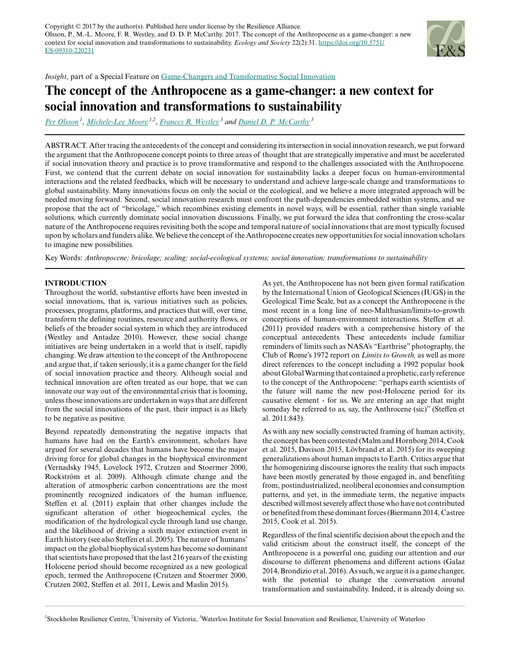

*Insight*, part of a Special Feature on [Game-Changers and Transformative Social Innovation](https://www.ecologyandsociety.org/viewissue.php?sf=114)

# **The concept of the Anthropocene as a game-changer: a new context for social innovation and transformations to sustainability**

*[Per Olsson](mailto:per.olsson@su.se)<sup>1</sup>* , *[Michele-Lee Moore](mailto:mlmoore@uvic.ca) 1,2* , *[Frances R. Westley](mailto:fwestley@uwaterloo.ca)<sup>3</sup> and [Daniel D. P. McCarthy](mailto:dmccarth@uwaterloo.ca)<sup>3</sup>*

ABSTRACT. After tracing the antecedents of the concept and considering its intersection in social innovation research, we put forward the argument that the Anthropocene concept points to three areas of thought that are strategically imperative and must be accelerated if social innovation theory and practice is to prove transformative and respond to the challenges associated with the Anthropocene. First, we contend that the current debate on social innovation for sustainability lacks a deeper focus on human-environmental interactions and the related feedbacks, which will be necessary to understand and achieve large-scale change and transformations to global sustainability. Many innovations focus on only the social or the ecological, and we believe a more integrated approach will be needed moving forward. Second, social innovation research must confront the path-dependencies embedded within systems, and we propose that the act of "bricolage," which recombines existing elements in novel ways, will be essential, rather than single variable solutions, which currently dominate social innovation discussions. Finally, we put forward the idea that confronting the cross-scalar nature of the Anthropocene requires revisiting both the scope and temporal nature of social innovations that are most typically focused upon by scholars and funders alike. We believe the concept of the Anthropocene creates new opportunities for social innovation scholars to imagine new possibilities.

Key Words: *Anthropocene; bricolage; scaling; social-ecological systems; social innovation; transformations to sustainability*

## **INTRODUCTION**

Throughout the world, substantive efforts have been invested in social innovations, that is, various initiatives such as policies, processes, programs, platforms, and practices that will, over time, transform the defining routines, resource and authority flows, or beliefs of the broader social system in which they are introduced (Westley and Antadze 2010). However, these social change initiatives are being undertaken in a world that is itself, rapidly changing. We draw attention to the concept of the Anthropocene and argue that, if taken seriously, it is a game changer for the field of social innovation practice and theory. Although social and technical innovation are often treated as our hope, that we can innovate our way out of the environmental crisis that is looming, unless those innovations are undertaken in ways that are different from the social innovations of the past, their impact is as likely to be negative as positive.

Beyond repeatedly demonstrating the negative impacts that humans have had on the Earth's environment, scholars have argued for several decades that humans have become the major driving force for global changes in the biophysical environment (Vernadsky 1945, Lovelock 1972, Crutzen and Stoermer 2000, Rockström et al. 2009). Although climate change and the alteration of atmospheric carbon concentrations are the most prominently recognized indicators of the human influence, Steffen et al. (2011) explain that other changes include the significant alteration of other biogeochemical cycles, the modification of the hydrological cycle through land use change, and the likelihood of driving a sixth major extinction event in Earth history (see also Steffen et al. 2005). The nature of humans' impact on the global biophysical system has become so dominant that scientists have proposed that the last 216 years of the existing Holocene period should become recognized as a new geological epoch, termed the Anthropocene (Crutzen and Stoermer 2000, Crutzen 2002, Steffen et al. 2011, Lewis and Maslin 2015).

As yet, the Anthropocene has not been given formal ratification by the International Union of Geological Sciences (IUGS) in the Geological Time Scale, but as a concept the Anthropocene is the most recent in a long line of neo-Malthusian/limits-to-growth conceptions of human-environment interactions. Steffen et al. (2011) provided readers with a comprehensive history of the conceptual antecedents. These antecedents include familiar reminders of limits such as NASA's "Earthrise" photography, the Club of Rome's 1972 report on *Limits to Growth,* as well as more direct references to the concept including a 1992 popular book about Global Warming that contained a prophetic, early reference to the concept of the Anthropocene: "perhaps earth scientists of the future will name the new post-Holocene period for its causative element - for us. We are entering an age that might someday be referred to as, say, the Anthrocene (sic)" (Steffen et al. 2011:843).

As with any new socially constructed framing of human activity, the concept has been contested (Malm and Hornborg 2014, Cook et al. 2015, Davison 2015, Lövbrand et al. 2015) for its sweeping generalizations about human impacts to Earth. Critics argue that the homogenizing discourse ignores the reality that such impacts have been mostly generated by those engaged in, and benefiting from, postindustrialized, neoliberal economies and consumption patterns, and yet, in the immediate term, the negative impacts described will most severely affect those who have not contributed or benefited from these dominant forces (Biermann 2014, Castree 2015, Cook et al. 2015).

Regardless of the final scientific decision about the epoch and the valid criticism about the construct itself, the concept of the Anthropocene is a powerful one, guiding our attention and our discourse to different phenomena and different actions (Galaz 2014, Brondizio et al. 2016). As such, we argue it is a game changer, with the potential to change the conversation around transformation and sustainability. Indeed, it is already doing so.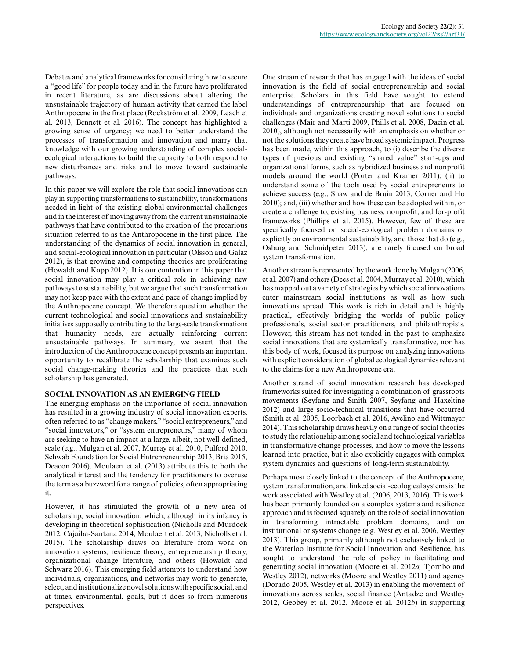Debates and analytical frameworks for considering how to secure a "good life" for people today and in the future have proliferated in recent literature, as are discussions about altering the unsustainable trajectory of human activity that earned the label Anthropocene in the first place (Rockström et al. 2009, Leach et al. 2013, Bennett et al. 2016). The concept has highlighted a growing sense of urgency; we need to better understand the processes of transformation and innovation and marry that knowledge with our growing understanding of complex socialecological interactions to build the capacity to both respond to new disturbances and risks and to move toward sustainable pathways.

In this paper we will explore the role that social innovations can play in supporting transformations to sustainability, transformations needed in light of the existing global environmental challenges and in the interest of moving away from the current unsustainable pathways that have contributed to the creation of the precarious situation referred to as the Anthropocene in the first place. The understanding of the dynamics of social innovation in general, and social-ecological innovation in particular (Olsson and Galaz 2012), is that growing and competing theories are proliferating (Howaldt and Kopp 2012). It is our contention in this paper that social innovation may play a critical role in achieving new pathways to sustainability, but we argue that such transformation may not keep pace with the extent and pace of change implied by the Anthropocene concept. We therefore question whether the current technological and social innovations and sustainability initiatives supposedly contributing to the large-scale transformations that humanity needs, are actually reinforcing current unsustainable pathways. In summary, we assert that the introduction of the Anthropocene concept presents an important opportunity to recalibrate the scholarship that examines such social change-making theories and the practices that such scholarship has generated.

## **SOCIAL INNOVATION AS AN EMERGING FIELD**

The emerging emphasis on the importance of social innovation has resulted in a growing industry of social innovation experts, often referred to as "change makers," "social entrepreneurs," and "social innovators," or "system entrepreneurs," many of whom are seeking to have an impact at a large, albeit, not well-defined, scale (e.g., Mulgan et al. 2007, Murray et al. 2010, Pulford 2010, Schwab Foundation for Social Entrepreneurship 2013, Bria 2015, Deacon 2016). Moulaert et al. (2013) attribute this to both the analytical interest and the tendency for practitioners to overuse the term as a buzzword for a range of policies, often appropriating it.

However, it has stimulated the growth of a new area of scholarship, social innovation, which, although in its infancy is developing in theoretical sophistication (Nicholls and Murdock 2012, Cajaiba-Santana 2014, Moulaert et al. 2013, Nicholls et al. 2015). The scholarship draws on literature from work on innovation systems, resilience theory, entrepreneurship theory, organizational change literature, and others (Howaldt and Schwarz 2016). This emerging field attempts to understand how individuals, organizations, and networks may work to generate, select, and institutionalize novel solutions with specific social, and at times, environmental, goals, but it does so from numerous perspectives.

One stream of research that has engaged with the ideas of social innovation is the field of social entrepreneurship and social enterprise. Scholars in this field have sought to extend understandings of entrepreneurship that are focused on individuals and organizations creating novel solutions to social challenges (Mair and Marti 2009, Phills et al. 2008, Dacin et al. 2010), although not necessarily with an emphasis on whether or not the solutions they create have broad systemic impact. Progress has been made, within this approach, to (i) describe the diverse types of previous and existing "shared value" start-ups and organizational forms, such as hybridized business and nonprofit models around the world (Porter and Kramer 2011); (ii) to understand some of the tools used by social entrepreneurs to achieve success (e.g., Shaw and de Bruin 2013, Corner and Ho 2010); and, (iii) whether and how these can be adopted within, or create a challenge to, existing business, nonprofit, and for-profit frameworks (Phillips et al. 2015). However, few of these are specifically focused on social-ecological problem domains or explicitly on environmental sustainability, and those that do (e.g., Osburg and Schmidpeter 2013), are rarely focused on broad system transformation.

Another stream is represented by the work done by Mulgan (2006, et al. 2007) and others (Dees et al. 2004, Murray et al. 2010), which has mapped out a variety of strategies by which social innovations enter mainstream social institutions as well as how such innovations spread. This work is rich in detail and is highly practical, effectively bridging the worlds of public policy professionals, social sector practitioners, and philanthropists. However, this stream has not tended in the past to emphasize social innovations that are systemically transformative, nor has this body of work, focused its purpose on analyzing innovations with explicit consideration of global ecological dynamics relevant to the claims for a new Anthropocene era.

Another strand of social innovation research has developed frameworks suited for investigating a combination of grassroots movements (Seyfang and Smith 2007, Seyfang and Haxeltine 2012) and large socio-technical transitions that have occurred (Smith et al. 2005, Loorbach et al. 2016, Avelino and Wittmayer 2014). This scholarship draws heavily on a range of social theories to study the relationship among social and technological variables in transformative change processes, and how to move the lessons learned into practice, but it also explicitly engages with complex system dynamics and questions of long-term sustainability.

Perhaps most closely linked to the concept of the Anthropocene, system transformation, and linked social-ecological systems is the work associated with Westley et al. (2006, 2013, 2016). This work has been primarily founded on a complex systems and resilience approach and is focused squarely on the role of social innovation in transforming intractable problem domains, and on institutional or systems change (e.g. Westley et al. 2006, Westley 2013). This group, primarily although not exclusively linked to the Waterloo Institute for Social Innovation and Resilience, has sought to understand the role of policy in facilitating and generating social innovation (Moore et al. 2012*a,* Tjornbo and Westley 2012), networks (Moore and Westley 2011) and agency (Dorado 2005, Westley et al. 2013) in enabling the movement of innovations across scales, social finance (Antadze and Westley 2012, Geobey et al. 2012, Moore et al. 2012*b*) in supporting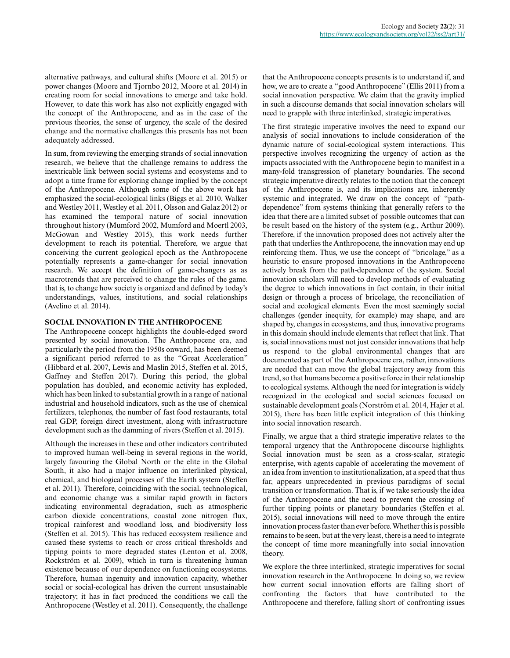alternative pathways, and cultural shifts (Moore et al. 2015) or power changes (Moore and Tjornbo 2012, Moore et al. 2014) in creating room for social innovations to emerge and take hold. However, to date this work has also not explicitly engaged with the concept of the Anthropocene, and as in the case of the previous theories, the sense of urgency, the scale of the desired change and the normative challenges this presents has not been adequately addressed.

In sum, from reviewing the emerging strands of social innovation research, we believe that the challenge remains to address the inextricable link between social systems and ecosystems and to adopt a time frame for exploring change implied by the concept of the Anthropocene. Although some of the above work has emphasized the social-ecological links (Biggs et al. 2010, Walker and Westley 2011, Westley et al. 2011, Olsson and Galaz 2012) or has examined the temporal nature of social innovation throughout history (Mumford 2002, Mumford and Moertl 2003, McGowan and Westley 2015), this work needs further development to reach its potential. Therefore, we argue that conceiving the current geological epoch as the Anthropocene potentially represents a game-changer for social innovation research. We accept the definition of game-changers as as macrotrends that are perceived to change the rules of the game. that is, to change how society is organized and defined by today's understandings, values, institutions, and social relationships (Avelino et al. 2014).

### **SOCIAL INNOVATION IN THE ANTHROPOCENE**

The Anthropocene concept highlights the double-edged sword presented by social innovation. The Anthropocene era, and particularly the period from the 1950s onward, has been deemed a significant period referred to as the "Great Acceleration" (Hibbard et al. 2007, Lewis and Maslin 2015, Steffen et al. 2015, Gaffney and Steffen 2017). During this period, the global population has doubled, and economic activity has exploded, which has been linked to substantial growth in a range of national industrial and household indicators, such as the use of chemical fertilizers, telephones, the number of fast food restaurants, total real GDP, foreign direct investment, along with infrastructure development such as the damming of rivers (Steffen et al. 2015).

Although the increases in these and other indicators contributed to improved human well-being in several regions in the world, largely favouring the Global North or the elite in the Global South, it also had a major influence on interlinked physical, chemical, and biological processes of the Earth system (Steffen et al. 2011). Therefore, coinciding with the social, technological, and economic change was a similar rapid growth in factors indicating environmental degradation, such as atmospheric carbon dioxide concentrations, coastal zone nitrogen flux, tropical rainforest and woodland loss, and biodiversity loss (Steffen et al. 2015). This has reduced ecosystem resilience and caused these systems to reach or cross critical thresholds and tipping points to more degraded states (Lenton et al. 2008, Rockström et al. 2009), which in turn is threatening human existence because of our dependence on functioning ecosystems. Therefore, human ingenuity and innovation capacity, whether social or social-ecological has driven the current unsustainable trajectory; it has in fact produced the conditions we call the Anthropocene (Westley et al. 2011). Consequently, the challenge

that the Anthropocene concepts presents is to understand if, and how, we are to create a "good Anthropocene" (Ellis 2011) from a social innovation perspective. We claim that the gravity implied in such a discourse demands that social innovation scholars will need to grapple with three interlinked, strategic imperatives.

The first strategic imperative involves the need to expand our analysis of social innovations to include consideration of the dynamic nature of social-ecological system interactions. This perspective involves recognizing the urgency of action as the impacts associated with the Anthropocene begin to manifest in a many-fold transgression of planetary boundaries. The second strategic imperative directly relates to the notion that the concept of the Anthropocene is, and its implications are, inherently systemic and integrated. We draw on the concept of "pathdependence" from systems thinking that generally refers to the idea that there are a limited subset of possible outcomes that can be result based on the history of the system (e.g., Arthur 2009). Therefore, if the innovation proposed does not actively alter the path that underlies the Anthropocene, the innovation may end up reinforcing them. Thus, we use the concept of "bricolage," as a heuristic to ensure proposed innovations in the Anthropocene actively break from the path-dependence of the system. Social innovation scholars will need to develop methods of evaluating the degree to which innovations in fact contain, in their initial design or through a process of bricolage, the reconciliation of social and ecological elements. Even the most seemingly social challenges (gender inequity, for example) may shape, and are shaped by, changes in ecosystems, and thus, innovative programs in this domain should include elements that reflect that link. That is, social innovations must not just consider innovations that help us respond to the global environmental changes that are documented as part of the Anthropocene era, rather, innovations are needed that can move the global trajectory away from this trend, so that humans become a positive force in their relationship to ecological systems. Although the need for integration is widely recognized in the ecological and social sciences focused on sustainable development goals (Norström et al. 2014, Hajer et al. 2015), there has been little explicit integration of this thinking into social innovation research.

Finally, we argue that a third strategic imperative relates to the temporal urgency that the Anthropocene discourse highlights. Social innovation must be seen as a cross-scalar, strategic enterprise, with agents capable of accelerating the movement of an idea from invention to institutionalization, at a speed that thus far, appears unprecedented in previous paradigms of social transition or transformation. That is, if we take seriously the idea of the Anthropocene and the need to prevent the crossing of further tipping points or planetary boundaries (Steffen et al. 2015), social innovations will need to move through the entire innovation process faster than ever before. Whether this is possible remains to be seen, but at the very least, there is a need to integrate the concept of time more meaningfully into social innovation theory.

We explore the three interlinked, strategic imperatives for social innovation research in the Anthropocene. In doing so, we review how current social innovation efforts are falling short of confronting the factors that have contributed to the Anthropocene and therefore, falling short of confronting issues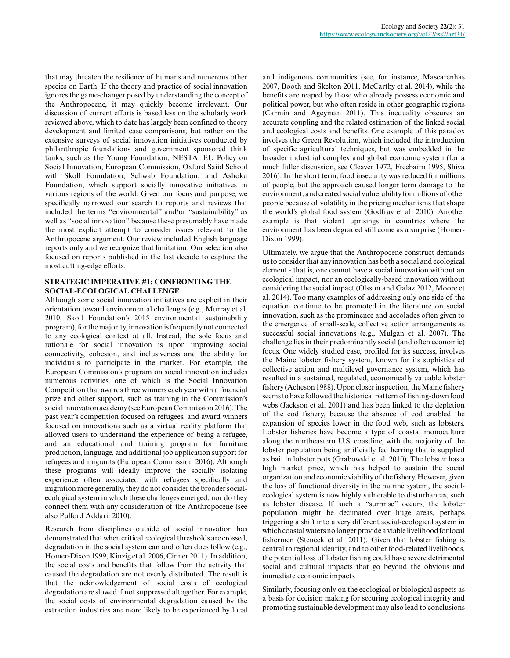that may threaten the resilience of humans and numerous other species on Earth. If the theory and practice of social innovation ignores the game-changer posed by understanding the concept of the Anthropocene, it may quickly become irrelevant. Our discussion of current efforts is based less on the scholarly work reviewed above, which to date has largely been confined to theory development and limited case comparisons, but rather on the extensive surveys of social innovation initiatives conducted by philanthropic foundations and government sponsored think tanks, such as the Young Foundation, NESTA, EU Policy on Social Innovation, European Commission, Oxford Saiid School with Skoll Foundation, Schwab Foundation, and Ashoka Foundation, which support socially innovative initiatives in various regions of the world. Given our focus and purpose, we specifically narrowed our search to reports and reviews that included the terms "environmental" and/or "sustainability" as well as "social innovation" because these presumably have made the most explicit attempt to consider issues relevant to the Anthropocene argument. Our review included English language reports only and we recognize that limitation. Our selection also focused on reports published in the last decade to capture the most cutting-edge efforts.

## **STRATEGIC IMPERATIVE #1: CONFRONTING THE SOCIAL-ECOLOGICAL CHALLENGE**

Although some social innovation initiatives are explicit in their orientation toward environmental challenges (e.g., Murray et al. 2010, Skoll Foundation's 2015 environmental sustainability program), for the majority, innovation is frequently not connected to any ecological context at all. Instead, the sole focus and rationale for social innovation is upon improving social connectivity, cohesion, and inclusiveness and the ability for individuals to participate in the market. For example, the European Commission's program on social innovation includes numerous activities, one of which is the Social Innovation Competition that awards three winners each year with a financial prize and other support, such as training in the Commission's social innovation academy (see European Commission 2016). The past year's competition focused on refugees, and award winners focused on innovations such as a virtual reality platform that allowed users to understand the experience of being a refugee, and an educational and training program for furniture production, language, and additional job application support for refugees and migrants (European Commission 2016). Although these programs will ideally improve the socially isolating experience often associated with refugees specifically and migration more generally, they do not consider the broader socialecological system in which these challenges emerged, nor do they connect them with any consideration of the Anthropocene (see also Pulford Addarii 2010).

Research from disciplines outside of social innovation has demonstrated that when critical ecological thresholds are crossed, degradation in the social system can and often does follow (e.g., Homer-Dixon 1999, Kinzig et al. 2006, Cinner 2011). In addition, the social costs and benefits that follow from the activity that caused the degradation are not evenly distributed. The result is that the acknowledgement of social costs of ecological degradation are slowed if not suppressed altogether. For example, the social costs of environmental degradation caused by the extraction industries are more likely to be experienced by local

and indigenous communities (see, for instance, Mascarenhas 2007, Booth and Skelton 2011, McCarthy et al. 2014), while the benefits are reaped by those who already possess economic and political power, but who often reside in other geographic regions (Carmin and Ageyman 2011). This inequality obscures an accurate coupling and the related estimation of the linked social and ecological costs and benefits. One example of this paradox involves the Green Revolution, which included the introduction of specific agricultural techniques, but was embedded in the broader industrial complex and global economic system (for a much fuller discussion, see Cleaver 1972, Freebairn 1995, Shiva 2016). In the short term, food insecurity was reduced for millions of people, but the approach caused longer term damage to the environment, and created social vulnerability for millions of other people because of volatility in the pricing mechanisms that shape the world's global food system (Godfray et al. 2010). Another example is that violent uprisings in countries where the environment has been degraded still come as a surprise (Homer-Dixon 1999).

Ultimately, we argue that the Anthropocene construct demands us to consider that any innovation has both a social and ecological element - that is, one cannot have a social innovation without an ecological impact, nor an ecologically-based innovation without considering the social impact (Olsson and Galaz 2012, Moore et al. 2014). Too many examples of addressing only one side of the equation continue to be promoted in the literature on social innovation, such as the prominence and accolades often given to the emergence of small-scale, collective action arrangements as successful social innovations (e.g., Mulgan et al. 2007). The challenge lies in their predominantly social (and often economic) focus. One widely studied case, profiled for its success, involves the Maine lobster fishery system, known for its sophisticated collective action and multilevel governance system, which has resulted in a sustained, regulated, economically valuable lobster fishery (Acheson 1988). Upon closer inspection, the Maine fishery seems to have followed the historical pattern of fishing-down food webs (Jackson et al. 2001) and has been linked to the depletion of the cod fishery, because the absence of cod enabled the expansion of species lower in the food web, such as lobsters. Lobster fisheries have become a type of coastal monoculture along the northeastern U.S. coastline, with the majority of the lobster population being artificially fed herring that is supplied as bait in lobster pots (Grabowski et al. 2010). The lobster has a high market price, which has helped to sustain the social organization and economic viability of the fishery. However, given the loss of functional diversity in the marine system, the socialecological system is now highly vulnerable to disturbances, such as lobster disease. If such a "surprise" occurs, the lobster population might be decimated over huge areas, perhaps triggering a shift into a very different social-ecological system in which coastal waters no longer provide a viable livelihood for local fishermen (Steneck et al. 2011). Given that lobster fishing is central to regional identity, and to other food-related livelihoods, the potential loss of lobster fishing could have severe detrimental social and cultural impacts that go beyond the obvious and immediate economic impacts.

Similarly, focusing only on the ecological or biological aspects as a basis for decision making for securing ecological integrity and promoting sustainable development may also lead to conclusions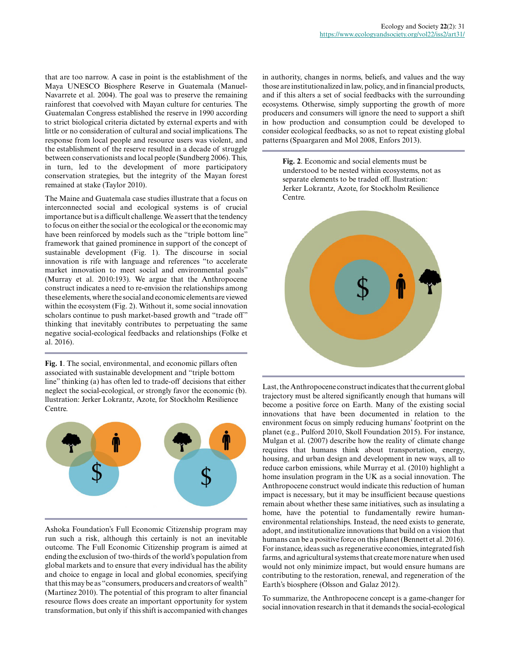that are too narrow. A case in point is the establishment of the Maya UNESCO Biosphere Reserve in Guatemala (Manuel-Navarrete et al. 2004). The goal was to preserve the remaining rainforest that coevolved with Mayan culture for centuries. The Guatemalan Congress established the reserve in 1990 according to strict biological criteria dictated by external experts and with little or no consideration of cultural and social implications. The response from local people and resource users was violent, and the establishment of the reserve resulted in a decade of struggle between conservationists and local people (Sundberg 2006). This, in turn, led to the development of more participatory conservation strategies, but the integrity of the Mayan forest remained at stake (Taylor 2010).

The Maine and Guatemala case studies illustrate that a focus on interconnected social and ecological systems is of crucial importance but is a difficult challenge. We assert that the tendency to focus on either the social or the ecological or the economic may have been reinforced by models such as the "triple bottom line" framework that gained prominence in support of the concept of sustainable development (Fig. 1). The discourse in social innovation is rife with language and references "to accelerate market innovation to meet social and environmental goals" (Murray et al. 2010:193). We argue that the Anthropocene construct indicates a need to re-envision the relationships among these elements, where the social and economic elements are viewed within the ecosystem (Fig. 2). Without it, some social innovation scholars continue to push market-based growth and "trade off" thinking that inevitably contributes to perpetuating the same negative social-ecological feedbacks and relationships (Folke et al. 2016).

**Fig. 1**. The social, environmental, and economic pillars often associated with sustainable development and "triple bottom line" thinking (a) has often led to trade-off decisions that either neglect the social-ecological, or strongly favor the economic (b). llustration: Jerker Lokrantz, Azote, for Stockholm Resilience Centre.



Ashoka Foundation's Full Economic Citizenship program may run such a risk, although this certainly is not an inevitable outcome. The Full Economic Citizenship program is aimed at ending the exclusion of two-thirds of the world's population from global markets and to ensure that every individual has the ability and choice to engage in local and global economies, specifying that this may be as "consumers, producers and creators of wealth" (Martinez 2010). The potential of this program to alter financial resource flows does create an important opportunity for system transformation, but only if this shift is accompanied with changes in authority, changes in norms, beliefs, and values and the way those are institutionalized in law, policy, and in financial products, and if this alters a set of social feedbacks with the surrounding ecosystems. Otherwise, simply supporting the growth of more producers and consumers will ignore the need to support a shift in how production and consumption could be developed to consider ecological feedbacks, so as not to repeat existing global patterns (Spaargaren and Mol 2008, Enfors 2013).

**Fig. 2**. Economic and social elements must be understood to be nested within ecosystems, not as separate elements to be traded off. llustration: Jerker Lokrantz, Azote, for Stockholm Resilience Centre.



Last, the Anthropocene construct indicates that the current global trajectory must be altered significantly enough that humans will become a positive force on Earth. Many of the existing social innovations that have been documented in relation to the environment focus on simply reducing humans' footprint on the planet (e.g., Pulford 2010, Skoll Foundation 2015). For instance, Mulgan et al. (2007) describe how the reality of climate change requires that humans think about transportation, energy, housing, and urban design and development in new ways, all to reduce carbon emissions, while Murray et al. (2010) highlight a home insulation program in the UK as a social innovation. The Anthropocene construct would indicate this reduction of human impact is necessary, but it may be insufficient because questions remain about whether these same initiatives, such as insulating a home, have the potential to fundamentally rewire humanenvironmental relationships. Instead, the need exists to generate, adopt, and institutionalize innovations that build on a vision that humans can be a positive force on this planet (Bennett et al. 2016). For instance, ideas such as regenerative economies, integrated fish farms, and agricultural systems that create more nature when used would not only minimize impact, but would ensure humans are contributing to the restoration, renewal, and regeneration of the Earth's biosphere (Olsson and Galaz 2012).

To summarize, the Anthropocene concept is a game-changer for social innovation research in that it demands the social-ecological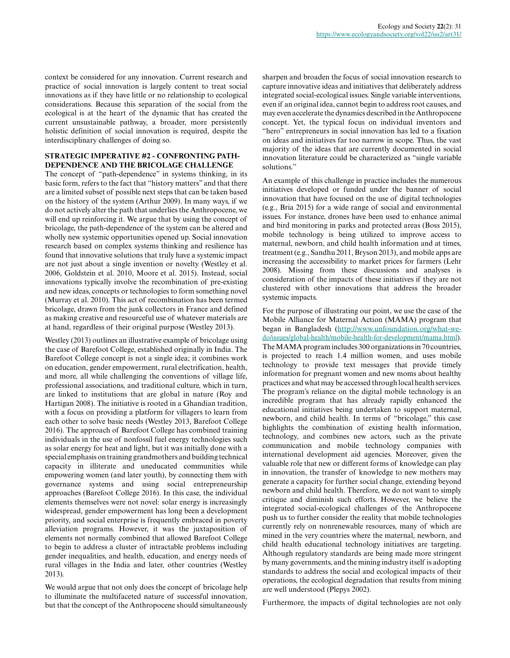context be considered for any innovation. Current research and practice of social innovation is largely content to treat social innovations as if they have little or no relationship to ecological considerations. Because this separation of the social from the ecological is at the heart of the dynamic that has created the current unsustainable pathway, a broader, more persistently holistic definition of social innovation is required, despite the interdisciplinary challenges of doing so.

## **STRATEGIC IMPERATIVE #2 - CONFRONTING PATH-DEPENDENCE AND THE BRICOLAGE CHALLENGE**

The concept of "path-dependence" in systems thinking, in its basic form, refers to the fact that "history matters" and that there are a limited subset of possible next steps that can be taken based on the history of the system (Arthur 2009). In many ways, if we do not actively alter the path that underlies the Anthropocene, we will end up reinforcing it. We argue that by using the concept of bricolage, the path-dependence of the system can be altered and wholly new systemic opportunities opened up. Social innovation research based on complex systems thinking and resilience has found that innovative solutions that truly have a systemic impact are not just about a single invention or novelty (Westley et al. 2006, Goldstein et al. 2010, Moore et al. 2015). Instead, social innovations typically involve the recombination of pre-existing and new ideas, concepts or technologies to form something novel (Murray et al. 2010). This act of recombination has been termed bricolage, drawn from the junk collectors in France and defined as making creative and resourceful use of whatever materials are at hand, regardless of their original purpose (Westley 2013).

Westley (2013) outlines an illustrative example of bricolage using the case of Barefoot College, established originally in India. The Barefoot College concept is not a single idea; it combines work on education, gender empowerment, rural electrification, health, and more, all while challenging the conventions of village life, professional associations, and traditional culture, which in turn, are linked to institutions that are global in nature (Roy and Hartigan 2008). The initiative is rooted in a Ghandian tradition, with a focus on providing a platform for villagers to learn from each other to solve basic needs (Westley 2013, Barefoot College 2016). The approach of Barefoot College has combined training individuals in the use of nonfossil fuel energy technologies such as solar energy for heat and light, but it was initially done with a special emphasis on training grandmothers and building technical capacity in illiterate and uneducated communities while empowering women (and later youth), by connecting them with governance systems and using social entrepreneurship approaches (Barefoot College 2016). In this case, the individual elements themselves were not novel: solar energy is increasingly widespread, gender empowerment has long been a development priority, and social enterprise is frequently embraced in poverty alleviation programs. However, it was the juxtaposition of elements not normally combined that allowed Barefoot College to begin to address a cluster of intractable problems including gender inequalities, and health, education, and energy needs of rural villages in the India and later, other countries (Westley 2013).

We would argue that not only does the concept of bricolage help to illuminate the multifaceted nature of successful innovation, but that the concept of the Anthropocene should simultaneously sharpen and broaden the focus of social innovation research to capture innovative ideas and initiatives that deliberately address integrated social-ecological issues. Single variable interventions, even if an original idea, cannot begin to address root causes, and may even accelerate the dynamics described in the Anthropocene concept. Yet, the typical focus on individual inventors and "hero" entrepreneurs in social innovation has led to a fixation on ideas and initiatives far too narrow in scope. Thus, the vast majority of the ideas that are currently documented in social innovation literature could be characterized as "single variable solutions."

An example of this challenge in practice includes the numerous initiatives developed or funded under the banner of social innovation that have focused on the use of digital technologies (e.g., Bria 2015) for a wide range of social and environmental issues. For instance, drones have been used to enhance animal and bird monitoring in parks and protected areas (Boss 2015), mobile technology is being utilized to improve access to maternal, newborn, and child health information and at times, treatment (e.g., Sandhu 2011, Bryson 2013), and mobile apps are increasing the accessibility to market prices for farmers (Lehr 2008). Missing from these discussions and analyses is consideration of the impacts of these initiatives if they are not clustered with other innovations that address the broader systemic impacts.

For the purpose of illustrating our point, we use the case of the Mobile Alliance for Maternal Action (MAMA) program that began in Bangladesh [\(http://www.unfoundation.org/what-we](http://www.unfoundation.org/what-we-do/issues/global-health/mobile-health-for-development/mama.html)[do/issues/global-health/mobile-health-for-development/mama.html](http://www.unfoundation.org/what-we-do/issues/global-health/mobile-health-for-development/mama.html)). The MAMA program includes 300 organizations in 70 countries, is projected to reach 1.4 million women, and uses mobile technology to provide text messages that provide timely information for pregnant women and new moms about healthy practices and what may be accessed through local health services. The program's reliance on the digital mobile technology is an incredible program that has already rapidly enhanced the educational initiatives being undertaken to support maternal, newborn, and child health. In terms of "bricolage," this case highlights the combination of existing health information, technology, and combines new actors, such as the private communication and mobile technology companies with international development aid agencies. Moreover, given the valuable role that new or different forms of knowledge can play in innovation, the transfer of knowledge to new mothers may generate a capacity for further social change, extending beyond newborn and child health. Therefore, we do not want to simply critique and diminish such efforts. However, we believe the integrated social-ecological challenges of the Anthropocene push us to further consider the reality that mobile technologies currently rely on nonrenewable resources, many of which are mined in the very countries where the maternal, newborn, and child health educational technology initiatives are targeting. Although regulatory standards are being made more stringent by many governments, and the mining industry itself is adopting standards to address the social and ecological impacts of their operations, the ecological degradation that results from mining are well understood (Plepys 2002).

Furthermore, the impacts of digital technologies are not only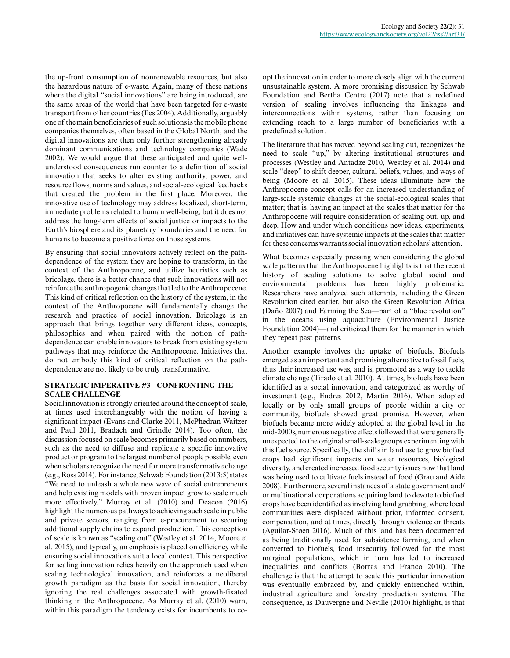the up-front consumption of nonrenewable resources, but also the hazardous nature of e-waste. Again, many of these nations where the digital "social innovations" are being introduced, are the same areas of the world that have been targeted for e-waste transport from other countries (Iles 2004). Additionally, arguably one of the main beneficiaries of such solutions is the mobile phone companies themselves, often based in the Global North, and the digital innovations are then only further strengthening already dominant communications and technology companies (Wade 2002). We would argue that these anticipated and quite wellunderstood consequences run counter to a definition of social innovation that seeks to alter existing authority, power, and resource flows, norms and values, and social-ecological feedbacks that created the problem in the first place. Moreover, the innovative use of technology may address localized, short-term, immediate problems related to human well-being, but it does not address the long-term effects of social justice or impacts to the Earth's biosphere and its planetary boundaries and the need for humans to become a positive force on those systems.

By ensuring that social innovators actively reflect on the pathdependence of the system they are hoping to transform, in the context of the Anthropocene, and utilize heuristics such as bricolage, there is a better chance that such innovations will not reinforce the anthropogenic changes that led to the Anthropocene. This kind of critical reflection on the history of the system, in the context of the Anthropocene will fundamentally change the research and practice of social innovation. Bricolage is an approach that brings together very different ideas, concepts, philosophies and when paired with the notion of pathdependence can enable innovators to break from existing system pathways that may reinforce the Anthropocene. Initiatives that do not embody this kind of critical reflection on the pathdependence are not likely to be truly transformative.

## **STRATEGIC IMPERATIVE #3 - CONFRONTING THE SCALE CHALLENGE**

Social innovation is strongly oriented around the concept of scale, at times used interchangeably with the notion of having a significant impact (Evans and Clarke 2011, McPhedran Waitzer and Paul 2011, Bradach and Grindle 2014). Too often, the discussion focused on scale becomes primarily based on numbers, such as the need to diffuse and replicate a specific innovative product or program to the largest number of people possible, even when scholars recognize the need for more transformative change (e.g., Ross 2014). For instance, Schwab Foundation (2013:5) states "We need to unleash a whole new wave of social entrepreneurs and help existing models with proven impact grow to scale much more effectively." Murray et al. (2010) and Deacon (2016) highlight the numerous pathways to achieving such scale in public and private sectors, ranging from e-procurement to securing additional supply chains to expand production. This conception of scale is known as "scaling out" (Westley et al. 2014, Moore et al. 2015), and typically, an emphasis is placed on efficiency while ensuring social innovations suit a local context. This perspective for scaling innovation relies heavily on the approach used when scaling technological innovation, and reinforces a neoliberal growth paradigm as the basis for social innovation, thereby ignoring the real challenges associated with growth-fixated thinking in the Anthropocene. As Murray et al. (2010) warn, within this paradigm the tendency exists for incumbents to coopt the innovation in order to more closely align with the current unsustainable system. A more promising discussion by Schwab Foundation and Bertha Centre (2017) note that a redefined version of scaling involves influencing the linkages and interconnections within systems, rather than focusing on extending reach to a large number of beneficiaries with a predefined solution.

The literature that has moved beyond scaling out, recognizes the need to scale "up," by altering institutional structures and processes (Westley and Antadze 2010, Westley et al. 2014) and scale "deep" to shift deeper, cultural beliefs, values, and ways of being (Moore et al. 2015). These ideas illuminate how the Anthropocene concept calls for an increased understanding of large-scale systemic changes at the social-ecological scales that matter; that is, having an impact at the scales that matter for the Anthropocene will require consideration of scaling out, up, and deep. How and under which conditions new ideas, experiments, and initiatives can have systemic impacts at the scales that matter for these concerns warrants social innovation scholars' attention.

What becomes especially pressing when considering the global scale patterns that the Anthropocene highlights is that the recent history of scaling solutions to solve global social and environmental problems has been highly problematic. Researchers have analyzed such attempts, including the Green Revolution cited earlier, but also the Green Revolution Africa (Daño 2007) and Farming the Sea—part of a "blue revolution" in the oceans using aquaculture (Environmental Justice Foundation 2004)—and criticized them for the manner in which they repeat past patterns.

Another example involves the uptake of biofuels. Biofuels emerged as an important and promising alternative to fossil fuels, thus their increased use was, and is, promoted as a way to tackle climate change (Tirado et al. 2010). At times, biofuels have been identified as a social innovation, and categorized as worthy of investment (e.g., Endres 2012, Martin 2016). When adopted locally or by only small groups of people within a city or community, biofuels showed great promise. However, when biofuels became more widely adopted at the global level in the mid-2000s, numerous negative effects followed that were generally unexpected to the original small-scale groups experimenting with this fuel source. Specifically, the shifts in land use to grow biofuel crops had significant impacts on water resources, biological diversity, and created increased food security issues now that land was being used to cultivate fuels instead of food (Grau and Aide 2008). Furthermore, several instances of a state government and/ or multinational corporations acquiring land to devote to biofuel crops have been identified as involving land grabbing, where local communities were displaced without prior, informed consent, compensation, and at times, directly through violence or threats (Aguilar-Støen 2016). Much of this land has been documented as being traditionally used for subsistence farming, and when converted to biofuels, food insecurity followed for the most marginal populations, which in turn has led to increased inequalities and conflicts (Borras and Franco 2010). The challenge is that the attempt to scale this particular innovation was eventually embraced by, and quickly entrenched within, industrial agriculture and forestry production systems. The consequence, as Dauvergne and Neville (2010) highlight, is that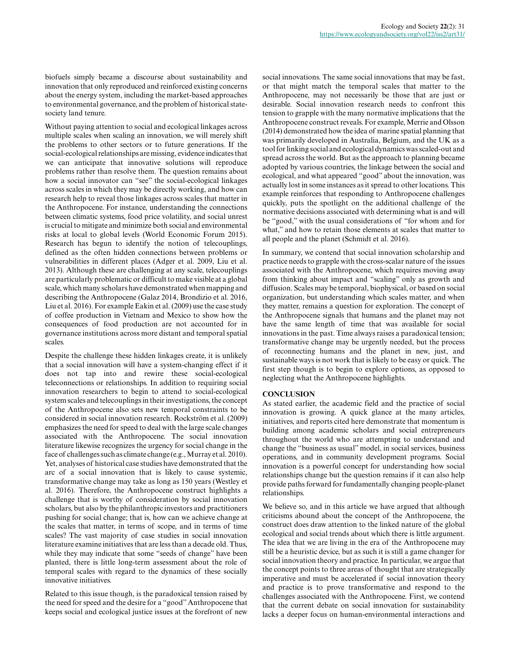biofuels simply became a discourse about sustainability and innovation that only reproduced and reinforced existing concerns about the energy system, including the market-based approaches to environmental governance, and the problem of historical statesociety land tenure.

Without paying attention to social and ecological linkages across multiple scales when scaling an innovation, we will merely shift the problems to other sectors or to future generations. If the social-ecological relationships are missing, evidence indicates that we can anticipate that innovative solutions will reproduce problems rather than resolve them. The question remains about how a social innovator can "see" the social-ecological linkages across scales in which they may be directly working, and how can research help to reveal those linkages across scales that matter in the Anthropocene. For instance, understanding the connections between climatic systems, food price volatility, and social unrest is crucial to mitigate and minimize both social and environmental risks at local to global levels (World Economic Forum 2015). Research has begun to identify the notion of telecouplings, defined as the often hidden connections between problems or vulnerabilities in different places (Adger et al. 2009, Liu et al. 2013). Although these are challenging at any scale, telecouplings are particularly problematic or difficult to make visible at a global scale, which many scholars have demonstrated when mapping and describing the Anthropocene (Galaz 2014, Brondizio et al. 2016, Liu et al. 2016). For example Eakin et al. (2009) use the case study of coffee production in Vietnam and Mexico to show how the consequences of food production are not accounted for in governance institutions across more distant and temporal spatial scales.

Despite the challenge these hidden linkages create, it is unlikely that a social innovation will have a system-changing effect if it does not tap into and rewire these social-ecological teleconnections or relationships. In addition to requiring social innovation researchers to begin to attend to social-ecological system scales and telecouplings in their investigations, the concept of the Anthropocene also sets new temporal constraints to be considered in social innovation research. Rockström et al. (2009) emphasizes the need for speed to deal with the large scale changes associated with the Anthropocene. The social innovation literature likewise recognizes the urgency for social change in the face of challenges such as climate change (e.g., Murray et al. 2010). Yet, analyses of historical case studies have demonstrated that the arc of a social innovation that is likely to cause systemic, transformative change may take as long as 150 years (Westley et al. 2016). Therefore, the Anthropocene construct highlights a challenge that is worthy of consideration by social innovation scholars, but also by the philanthropic investors and practitioners pushing for social change; that is, how can we achieve change at the scales that matter, in terms of scope, and in terms of time scales? The vast majority of case studies in social innovation literature examine initiatives that are less than a decade old. Thus, while they may indicate that some "seeds of change" have been planted, there is little long-term assessment about the role of temporal scales with regard to the dynamics of these socially innovative initiatives.

Related to this issue though, is the paradoxical tension raised by the need for speed and the desire for a "good" Anthropocene that keeps social and ecological justice issues at the forefront of new social innovations. The same social innovations that may be fast, or that might match the temporal scales that matter to the Anthropocene, may not necessarily be those that are just or desirable. Social innovation research needs to confront this tension to grapple with the many normative implications that the Anthropocene construct reveals. For example, Merrie and Olsson (2014) demonstrated how the idea of marine spatial planning that was primarily developed in Australia, Belgium, and the UK as a tool for linking social and ecological dynamics was scaled-out and spread across the world. But as the approach to planning became adopted by various countries, the linkage between the social and ecological, and what appeared "good" about the innovation, was actually lost in some instances as it spread to other locations. This example reinforces that responding to Anthropocene challenges quickly, puts the spotlight on the additional challenge of the normative decisions associated with determining what is and will be "good," with the usual considerations of "for whom and for what," and how to retain those elements at scales that matter to all people and the planet (Schmidt et al. 2016).

In summary, we contend that social innovation scholarship and practice needs to grapple with the cross-scalar nature of the issues associated with the Anthropocene, which requires moving away from thinking about impact and "scaling" only as growth and diffusion. Scales may be temporal, biophysical, or based on social organization, but understanding which scales matter, and when they matter, remains a question for exploration. The concept of the Anthropocene signals that humans and the planet may not have the same length of time that was available for social innovations in the past. Time always raises a paradoxical tension; transformative change may be urgently needed, but the process of reconnecting humans and the planet in new, just, and sustainable ways is not work that is likely to be easy or quick. The first step though is to begin to explore options, as opposed to neglecting what the Anthropocene highlights.

## **CONCLUSION**

As stated earlier, the academic field and the practice of social innovation is growing. A quick glance at the many articles, initiatives, and reports cited here demonstrate that momentum is building among academic scholars and social entrepreneurs throughout the world who are attempting to understand and change the "business as usual" model, in social services, business operations, and in community development programs. Social innovation is a powerful concept for understanding how social relationships change but the question remains if it can also help provide paths forward for fundamentally changing people-planet relationships.

We believe so, and in this article we have argued that although criticisms abound about the concept of the Anthropocene, the construct does draw attention to the linked nature of the global ecological and social trends about which there is little argument. The idea that we are living in the era of the Anthropocene may still be a heuristic device, but as such it is still a game changer for social innovation theory and practice. In particular, we argue that the concept points to three areas of thought that are strategically imperative and must be accelerated if social innovation theory and practice is to prove transformative and respond to the challenges associated with the Anthropocene. First, we contend that the current debate on social innovation for sustainability lacks a deeper focus on human-environmental interactions and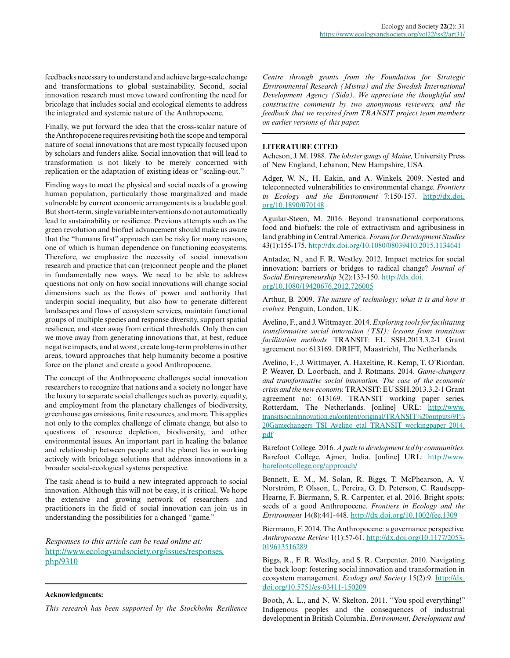feedbacks necessary to understand and achieve large-scale change and transformations to global sustainability. Second, social innovation research must move toward confronting the need for bricolage that includes social and ecological elements to address the integrated and systemic nature of the Anthropocene.

Finally, we put forward the idea that the cross-scalar nature of the Anthropocene requires revisiting both the scope and temporal nature of social innovations that are most typically focused upon by scholars and funders alike. Social innovation that will lead to transformation is not likely to be merely concerned with replication or the adaptation of existing ideas or "scaling-out."

Finding ways to meet the physical and social needs of a growing human population, particularly those marginalized and made vulnerable by current economic arrangements is a laudable goal. But short-term, single variable interventions do not automatically lead to sustainability or resilience. Previous attempts such as the green revolution and biofuel advancement should make us aware that the "humans first" approach can be risky for many reasons, one of which is human dependence on functioning ecosystems. Therefore, we emphasize the necessity of social innovation research and practice that can (re)connect people and the planet in fundamentally new ways. We need to be able to address questions not only on how social innovations will change social dimensions such as the flows of power and authority that underpin social inequality, but also how to generate different landscapes and flows of ecosystem services, maintain functional groups of multiple species and response diversity, support spatial resilience, and steer away from critical thresholds. Only then can we move away from generating innovations that, at best, reduce negative impacts, and at worst, create long-term problems in other areas, toward approaches that help humanity become a positive force on the planet and create a good Anthropocene.

The concept of the Anthropocene challenges social innovation researchers to recognize that nations and a society no longer have the luxury to separate social challenges such as poverty, equality, and employment from the planetary challenges of biodiversity, greenhouse gas emissions, finite resources, and more. This applies not only to the complex challenge of climate change, but also to questions of resource depletion, biodiversity, and other environmental issues. An important part in healing the balance and relationship between people and the planet lies in working actively with bricolage solutions that address innovations in a broader social-ecological systems perspective.

The task ahead is to build a new integrated approach to social innovation. Although this will not be easy, it is critical. We hope the extensive and growing network of researchers and practitioners in the field of social innovation can join us in understanding the possibilities for a changed "game."

*Responses to this article can be read online at:* [http://www.ecologyandsociety.org/issues/responses.](http://www.ecologyandsociety.org/issues/responses.php/9310) [php/9310](http://www.ecologyandsociety.org/issues/responses.php/9310)

#### **Acknowledgments:**

*This research has been supported by the Stockholm Resilience*

*Centre through grants from the Foundation for Strategic Environmental Research (Mistra) and the Swedish International Development Agency (Sida). We appreciate the thoughtful and constructive comments by two anonymous reviewers, and the feedback that we received from TRANSIT project team members on earlier versions of this paper.*

## **LITERATURE CITED**

Acheson, J. M. 1988. *The lobster gangs of Maine,* University Press of New England, Lebanon, New Hampshire, USA.

Adger, W. N., H. Eakin, and A. Winkels. 2009. Nested and teleconnected vulnerabilities to environmental change. *Frontiers in Ecology and the Environment* 7:150-157. [http://dx.doi.](http://dx.doi.org/10.1890%2F070148) [org/10.1890/070148](http://dx.doi.org/10.1890%2F070148)

Aguilar-Støen, M. 2016. Beyond transnational corporations, food and biofuels: the role of extractivism and agribusiness in land grabbing in Central America. *Forum for Development Studies* 43(1):155-175. [http://dx.doi.org/10.1080/08039410.2015.1134641](http://dx.doi.org/10.1080%2F08039410.2015.1134641) 

Antadze, N., and F. R. Westley. 2012. Impact metrics for social innovation: barriers or bridges to radical change? *Journal of Social Entrepreneurship* 3(2):133-150. [http://dx.doi.](http://dx.doi.org/10.1080%2F19420676.2012.726005) [org/10.1080/19420676.2012.726005](http://dx.doi.org/10.1080%2F19420676.2012.726005)

Arthur, B. 2009. *The nature of technology: what it is and how it evolves.* Penguin, London, UK.

Avelino, F., and J. Wittmayer. 2014. *Exploring tools for facilitating transformative social innovation (TSI): lessons from transition facilitation methods.* TRANSIT: EU SSH.2013.3.2-1 Grant agreement no: 613169. DRIFT, Maastricht, The Netherlands.

Avelino, F., J. Wittmayer, A. Haxeltine, R. Kemp, T. O'Riordan, P. Weaver, D. Loorbach, and J. Rotmans. 2014. *Game-changers and transformative social innovation. The case of the economic crisis and the new economy.* TRANSIT: EU SSH.2013.3.2-1 Grant agreement no: 613169. TRANSIT working paper series, Rotterdam, The Netherlands. [online] URL: [http://www.](http://www.transitsocialinnovation.eu/content/original/TRANSIT%20outputs/91%20Gamechangers_TSI_Avelino_etal_TRANSIT_workingpaper_2014.pdf) [transitsocialinnovation.eu/content/original/TRANSIT%20outputs/91%](http://www.transitsocialinnovation.eu/content/original/TRANSIT%20outputs/91%20Gamechangers_TSI_Avelino_etal_TRANSIT_workingpaper_2014.pdf) [20Gamechangers\\_TSI\\_Avelino\\_etal\\_TRANSIT\\_workingpaper\\_2014.](http://www.transitsocialinnovation.eu/content/original/TRANSIT%20outputs/91%20Gamechangers_TSI_Avelino_etal_TRANSIT_workingpaper_2014.pdf) [pdf](http://www.transitsocialinnovation.eu/content/original/TRANSIT%20outputs/91%20Gamechangers_TSI_Avelino_etal_TRANSIT_workingpaper_2014.pdf)

Barefoot College. 2016. *A path to development led by communities.* Barefoot College, Ajmer, India. [online] URL: [http://www.](http://www.barefootcollege.org/approach/) [barefootcollege.org/approach/](http://www.barefootcollege.org/approach/) 

Bennett, E. M., M. Solan, R. Biggs, T. McPhearson, A. V. Norström, P. Olsson, L. Pereira, G. D. Peterson, C. Raudsepp-Hearne, F. Biermann, S. R. Carpenter, et al. 2016. Bright spots: seeds of a good Anthropocene. *Frontiers in Ecology and the Environment* 14(8):441-448. [http://dx.doi.org/10.1002/fee.1309](http://dx.doi.org/10.1002%2Ffee.1309)

Biermann, F. 2014. The Anthropocene: a governance perspective. *Anthropocene Review* 1(1):57-61. [http://dx.doi.org/10.1177/2053](http://dx.doi.org/10.1177%2F2053019613516289) [019613516289](http://dx.doi.org/10.1177%2F2053019613516289)

Biggs, R., F. R. Westley, and S. R. Carpenter. 2010. Navigating the back loop: fostering social innovation and transformation in ecosystem management. *Ecology and Society* 15(2):9. [http://dx.](http://dx.doi.org/10.5751%2Fes-03411-150209) [doi.org/10.5751/es-03411-150209](http://dx.doi.org/10.5751%2Fes-03411-150209) 

Booth, A. L., and N. W. Skelton. 2011. "You spoil everything!" Indigenous peoples and the consequences of industrial development in British Columbia. *Environment, Development and*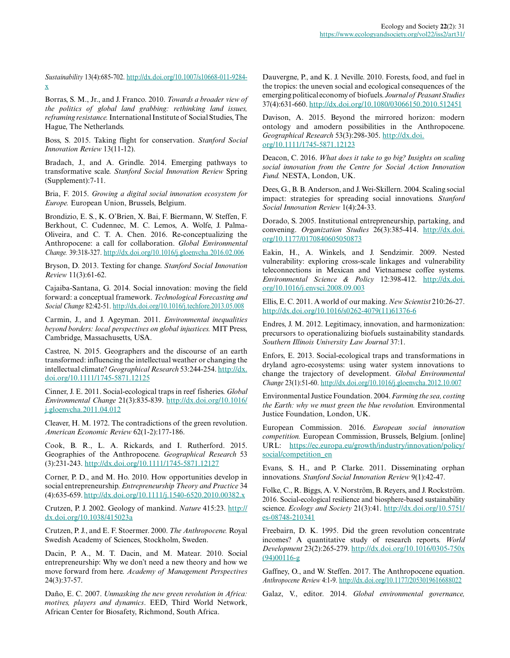*Sustainability* 13(4):685-702. [http://dx.doi.org/10.1007/s10668-011-9284](http://dx.doi.org/10.1007%2Fs10668-011-9284-x) [x](http://dx.doi.org/10.1007%2Fs10668-011-9284-x)

Borras, S. M., Jr., and J. Franco. 2010. *Towards a broader view of the politics of global land grabbing: rethinking land issues, reframing resistance.* International Institute of Social Studies, The Hague, The Netherlands.

Boss, S. 2015. Taking flight for conservation. *Stanford Social Innovation Review* 13(11-12).

Bradach, J., and A. Grindle. 2014. Emerging pathways to transformative scale. *Stanford Social Innovation Review* Spring (Supplement):7-11.

Bria, F. 2015. *Growing a digital social innovation ecosystem for Europe.* European Union, Brussels, Belgium.

Brondizio, E. S., K. O'Brien, X. Bai, F. Biermann, W. Steffen, F. Berkhout, C. Cudennec, M. C. Lemos, A. Wolfe, J. Palma-Oliveira, and C. T. A. Chen. 2016. Re-conceptualizing the Anthropocene: a call for collaboration. *Global Environmental Change.* 39:318-327. [http://dx.doi.org/10.1016/j.gloenvcha.2016.02.006](http://dx.doi.org/10.1016%2Fj.gloenvcha.2016.02.006) 

Bryson, D. 2013. Texting for change. *Stanford Social Innovation Review* 11(3):61-62.

Cajaiba-Santana, G. 2014. Social innovation: moving the field forward: a conceptual framework. *Technological Forecasting and Social Change* 82:42-51. [http://dx.doi.org/10.1016/j.techfore.2013.05.008](http://dx.doi.org/10.1016%2Fj.techfore.2013.05.008)

Carmin, J., and J. Ageyman. 2011. *Environmental inequalities beyond borders: local perspectives on global injustices.* MIT Press, Cambridge, Massachusetts, USA.

Castree, N. 2015. Geographers and the discourse of an earth transformed: influencing the intellectual weather or changing the intellectual climate? *Geographical Research* 53:244-254. [http://dx.](http://dx.doi.org/10.1111%2F1745-5871.12125) [doi.org/10.1111/1745-5871.12125](http://dx.doi.org/10.1111%2F1745-5871.12125) 

Cinner, J. E. 2011. Social-ecological traps in reef fisheries. *Global Environmental Change* 21(3):835-839. [http://dx.doi.org/10.1016/](http://dx.doi.org/10.1016%2Fj.gloenvcha.2011.04.012) [j.gloenvcha.2011.04.012](http://dx.doi.org/10.1016%2Fj.gloenvcha.2011.04.012) 

Cleaver, H. M. 1972. The contradictions of the green revolution. *American Economic Review* 62(1-2):177-186.

Cook, B. R., L. A. Rickards, and I. Rutherford. 2015. Geographies of the Anthropocene. *Geographical Research* 53 (3):231-243. [http://dx.doi.org/10.1111/1745-5871.12127](http://dx.doi.org/10.1111%2F1745-5871.12127) 

Corner, P. D., and M. Ho. 2010. How opportunities develop in social entrepreneurship. *Entrepreneurship Theory and Practice* 34 (4):635-659. [http://dx.doi.org/10.1111/j.1540-6520.2010.00382.x](http://dx.doi.org/10.1111%2Fj.1540-6520.2010.00382.x)

Crutzen, P. J. 2002. Geology of mankind. *Nature* 415:23. [http://](http://dx.doi.org/10.1038%2F415023a) [dx.doi.org/10.1038/415023a](http://dx.doi.org/10.1038%2F415023a)

Crutzen, P. J., and E. F. Stoermer. 2000. *The Anthropocene.* Royal Swedish Academy of Sciences, Stockholm, Sweden.

Dacin, P. A., M. T. Dacin, and M. Matear. 2010. Social entrepreneurship: Why we don't need a new theory and how we move forward from here. *Academy of Management Perspectives* 24(3):37-57.

Daño, E. C. 2007. *Unmasking the new green revolution in Africa: motives, players and dynamics*. EED, Third World Network, African Center for Biosafety, Richmond, South Africa.

Dauvergne, P., and K. J. Neville. 2010. Forests, food, and fuel in the tropics: the uneven social and ecological consequences of the emerging political economy of biofuels. *Journal of Peasant Studies* 37(4):631-660. [http://dx.doi.org/10.1080/03066150.2010.512451](http://dx.doi.org/10.1080%2F03066150.2010.512451)

Davison, A. 2015. Beyond the mirrored horizon: modern ontology and amodern possibilities in the Anthropocene. *Geographical Research* 53(3):298-305. [http://dx.doi.](http://dx.doi.org/10.1111%2F1745-5871.12123) [org/10.1111/1745-5871.12123](http://dx.doi.org/10.1111%2F1745-5871.12123)

Deacon, C. 2016. *What does it take to go big? Insights on scaling social innovation from the Centre for Social Action Innovation Fund.* NESTA, London, UK.

Dees, G., B. B. Anderson, and J. Wei-Skillern. 2004. Scaling social impact: strategies for spreading social innovations. *Stanford Social Innovation Review* 1(4):24-33.

Dorado, S. 2005. Institutional entrepreneurship, partaking, and convening. *Organization Studies* 26(3):385-414. [http://dx.doi.](http://dx.doi.org/10.1177%2F0170840605050873) [org/10.1177/0170840605050873](http://dx.doi.org/10.1177%2F0170840605050873)

Eakin, H., A. Winkels, and J. Sendzimir. 2009. Nested vulnerability: exploring cross-scale linkages and vulnerability teleconnections in Mexican and Vietnamese coffee systems. *Environmental Science & Policy* 12:398-412. [http://dx.doi.](http://dx.doi.org/10.1016%2Fj.envsci.2008.09.003) [org/10.1016/j.envsci.2008.09.003](http://dx.doi.org/10.1016%2Fj.envsci.2008.09.003) 

Ellis, E. C. 2011. A world of our making. *New Scientist* 210:26-27. [http://dx.doi.org/10.1016/s0262-4079\(11\)61376-6](http://dx.doi.org/10.1016%2Fs0262-4079%2811%2961376-6) 

Endres, J. M. 2012. Legitimacy, innovation, and harmonization: precursors to operationalizing biofuels sustainability standards. *Southern Illinois University Law Journal* 37:1.

Enfors, E. 2013. Social-ecological traps and transformations in dryland agro-ecosystems: using water system innovations to change the trajectory of development. *Global Environmental Change* 23(1):51-60. [http://dx.doi.org/10.1016/j.gloenvcha.2012.10.007](http://dx.doi.org/10.1016%2Fj.gloenvcha.2012.10.007) 

Environmental Justice Foundation. 2004. *Farming the sea, costing the Earth: why we must green the blue revolution.* Environmental Justice Foundation, London, UK.

European Commission. 2016. *European social innovation competition.* European Commission, Brussels, Belgium. [online] URL: [https://ec.europa.eu/growth/industry/innovation/policy/](https://ec.europa.eu/growth/industry/innovation/policy/social/competition_en) social/competition\_en

Evans, S. H., and P. Clarke. 2011. Disseminating orphan innovations. *Stanford Social Innovation Review* 9(1):42-47.

Folke, C., R. Biggs, A. V. Norström, B. Reyers, and J. Rockström. 2016. Social-ecological resilience and biosphere-based sustainability science. *Ecology and Society* 21(3):41. [http://dx.doi.org/10.5751/](http://dx.doi.org/10.5751%2Fes-08748-210341) [es-08748-210341](http://dx.doi.org/10.5751%2Fes-08748-210341) 

Freebairn, D. K. 1995. Did the green revolution concentrate incomes? A quantitative study of research reports. *World Development* 23(2):265-279. [http://dx.doi.org/10.1016/0305-750x](http://dx.doi.org/10.1016%2F0305-750x%2894%2900116-g) [\(94\)00116-g](http://dx.doi.org/10.1016%2F0305-750x%2894%2900116-g) 

Gaffney, O., and W. Steffen. 2017. The Anthropocene equation. *Anthropocene Review* 4:1-9. [http://dx.doi.org/10.1177/2053019616688022](http://dx.doi.org/10.1177%2F2053019616688022)

Galaz, V., editor. 2014. *Global environmental governance,*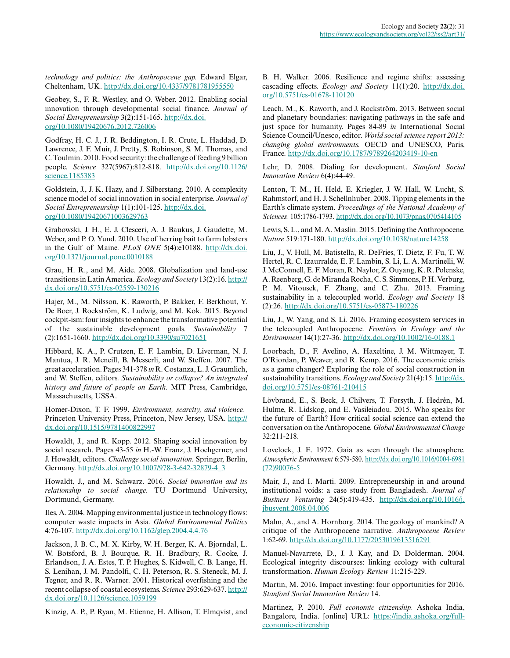*technology and politics: the Anthropocene gap.* Edward Elgar, Cheltenham, UK. [http://dx.doi.org/10.4337/9781781955550](http://dx.doi.org/10.4337%2F9781781955550) 

Geobey, S., F. R. Westley, and O. Weber. 2012. Enabling social innovation through developmental social finance. *Journal of Social Entrepreneurship* 3(2):151-165. [http://dx.doi.](http://dx.doi.org/10.1080%2F19420676.2012.726006) [org/10.1080/19420676.2012.726006](http://dx.doi.org/10.1080%2F19420676.2012.726006)

Godfray, H. C. J., J. R. Beddington, I. R. Crute, L. Haddad, D. Lawrence, J. F. Muir, J. Pretty, S. Robinson, S. M. Thomas, and C. Toulmin. 2010. Food security: the challenge of feeding 9 billion people. *Science* 327(5967):812-818. [http://dx.doi.org/10.1126/](http://dx.doi.org/10.1126%2Fscience.1185383) [science.1185383](http://dx.doi.org/10.1126%2Fscience.1185383)

Goldstein, J., J. K. Hazy, and J. Silberstang. 2010. A complexity science model of social innovation in social enterprise. *Journal of Social Entrepreneurship* 1(1):101-125. [http://dx.doi.](http://dx.doi.org/10.1080%2F19420671003629763) [org/10.1080/19420671003629763](http://dx.doi.org/10.1080%2F19420671003629763) 

Grabowski, J. H., E. J. Clesceri, A. J. Baukus, J. Gaudette, M. Weber, and P. O. Yund. 2010. Use of herring bait to farm lobsters in the Gulf of Maine. *PLoS ONE* 5(4):e10188. [http://dx.doi.](http://dx.doi.org/10.1371%2Fjournal.pone.0010188) [org/10.1371/journal.pone.0010188](http://dx.doi.org/10.1371%2Fjournal.pone.0010188) 

Grau, H. R., and M. Aide. 2008. Globalization and land-use transitions in Latin America. *Ecology and Society* 13(2):16. [http://](http://dx.doi.org/10.5751%2Fes-02559-130216) [dx.doi.org/10.5751/es-02559-130216](http://dx.doi.org/10.5751%2Fes-02559-130216) 

Hajer, M., M. Nilsson, K. Raworth, P. Bakker, F. Berkhout, Y. De Boer, J. Rockström, K. Ludwig, and M. Kok. 2015. Beyond cockpit-ism: four insights to enhance the transformative potential of the sustainable development goals. *Sustainability* 7 (2):1651-1660. [http://dx.doi.org/10.3390/su7021651](http://dx.doi.org/10.3390%2Fsu7021651) 

Hibbard, K. A., P. Crutzen, E. F. Lambin, D. Liverman, N. J. Mantua, J. R. Mcneill, B. Messerli, and W. Steffen. 2007. The great acceleration. Pages 341-378 *in* R. Costanza, L. J. Graumlich, and W. Steffen, editors. *Sustainability or collapse? An integrated history and future of people on Earth.* MIT Press, Cambridge, Massachusetts, USSA.

Homer-Dixon, T. F. 1999. *Environment, scarcity, and violence.*  Princeton University Press, Princeton, New Jersey, USA. [http://](http://dx.doi.org/10.1515%2F9781400822997) [dx.doi.org/10.1515/9781400822997](http://dx.doi.org/10.1515%2F9781400822997)

Howaldt, J., and R. Kopp. 2012. Shaping social innovation by social research. Pages 43-55 *in* H.-W. Franz, J. Hochgerner, and J. Howaldt, editors. *Challenge social innovation.* Springer, Berlin, Germany. [http://dx.doi.org/10.1007/978-3-642-32879-4\\_3](http://dx.doi.org/10.1007%2F978-3-642-32879-4_3)

Howaldt, J., and M. Schwarz. 2016. *Social innovation and its relationship to social change.* TU Dortmund University, Dortmund, Germany.

Iles, A. 2004. Mapping environmental justice in technology flows: computer waste impacts in Asia. *Global Environmental Politics* 4:76-107. [http://dx.doi.org/10.1162/glep.2004.4.4.76](http://dx.doi.org/10.1162%2Fglep.2004.4.4.76)

Jackson, J. B. C., M. X. Kirby, W. H. Berger, K. A. Bjorndal, L. W. Botsford, B. J. Bourque, R. H. Bradbury, R. Cooke, J. Erlandson, J. A. Estes, T. P. Hughes, S. Kidwell, C. B. Lange, H. S. Lenihan, J. M. Pandolfi, C. H. Peterson, R. S. Steneck, M. J. Tegner, and R. R. Warner. 2001. Historical overfishing and the recent collapse of coastal ecosystems. *Science* 293:629-637. [http://](http://dx.doi.org/10.1126%2Fscience.1059199) [dx.doi.org/10.1126/science.1059199](http://dx.doi.org/10.1126%2Fscience.1059199) 

Kinzig, A. P., P. Ryan, M. Etienne, H. Allison, T. Elmqvist, and

B. H. Walker. 2006. Resilience and regime shifts: assessing cascading effects. *Ecology and Society* 11(1):20. [http://dx.doi.](http://dx.doi.org/10.5751%2Fes-01678-110120) [org/10.5751/es-01678-110120](http://dx.doi.org/10.5751%2Fes-01678-110120)

Leach, M., K. Raworth, and J. Rockström. 2013. Between social and planetary boundaries: navigating pathways in the safe and just space for humanity. Pages 84-89 *in* International Social Science Council/Unesco, editor. *World social science report 2013: changing global environments.* OECD and UNESCO, Paris, France. [http://dx.doi.org/10.1787/9789264203419-10-en](http://dx.doi.org/10.1787%2F9789264203419-10-en)

Lehr, D. 2008. Dialing for development. *Stanford Social Innovation Review* 6(4):44-49.

Lenton, T. M., H. Held, E. Kriegler, J. W. Hall, W. Lucht, S. Rahmstorf, and H. J. Schellnhuber. 2008. Tipping elements in the Earth's climate system. *Proceedings of the National Academy of Sciences.* 105:1786-1793. [http://dx.doi.org/10.1073/pnas.0705414105](http://dx.doi.org/10.1073%2Fpnas.0705414105) 

Lewis, S. L., and M. A. Maslin. 2015. Defining the Anthropocene. *Nature* 519:171-180. [http://dx.doi.org/10.1038/nature14258](http://dx.doi.org/10.1038%2Fnature14258)

Liu, J., V. Hull, M. Batistella, R. DeFries, T. Dietz, F. Fu, T. W. Hertel, R. C. Izaurralde, E. F. Lambin, S. Li, L. A. Martinelli, W. J. McConnell, E. F. Moran, R. Naylor, Z. Ouyang, K. R. Polenske, A. Reenberg, G. de Miranda Rocha, C. S. Simmons, P. H. Verburg, P. M. Vitousek, F. Zhang, and C. Zhu. 2013. Framing sustainability in a telecoupled world. *Ecology and Society* 18 (2):26. [http://dx.doi.org/10.5751/es-05873-180226](http://dx.doi.org/10.5751%2Fes-05873-180226) 

Liu, J., W. Yang, and S. Li. 2016. Framing ecosystem services in the telecoupled Anthropocene. *Frontiers in Ecology and the Environment* 14(1):27-36. [http://dx.doi.org/10.1002/16-0188.1](http://dx.doi.org/10.1002%2F16-0188.1)

Loorbach, D., F. Avelino, A. Haxeltine, J. M. Wittmayer, T. O'Riordan, P. Weaver, and R. Kemp. 2016. The economic crisis as a game changer? Exploring the role of social construction in sustainability transitions. *Ecology and Society* 21(4):15. [http://dx.](http://dx.doi.org/10.5751%2Fes-08761-210415) [doi.org/10.5751/es-08761-210415](http://dx.doi.org/10.5751%2Fes-08761-210415) 

Lövbrand, E., S. Beck, J. Chilvers, T. Forsyth, J. Hedrén, M. Hulme, R. Lidskog, and E. Vasileiadou. 2015. Who speaks for the future of Earth? How critical social science can extend the conversation on the Anthropocene. *Global Environmental Change* 32:211-218.

Lovelock, J. E. 1972. Gaia as seen through the atmosphere. *Atmospheric Environment* 6:579-580. [http://dx.doi.org/10.1016/0004-6981](http://dx.doi.org/10.1016%2F0004-6981%2872%2990076-5) [\(72\)90076-5](http://dx.doi.org/10.1016%2F0004-6981%2872%2990076-5) 

Mair, J., and I. Marti. 2009. Entrepreneurship in and around institutional voids: a case study from Bangladesh. *Journal of Business Venturing* 24(5):419-435. [http://dx.doi.org/10.1016/j.](http://dx.doi.org/10.1016%2Fj.jbusvent.2008.04.006) [jbusvent.2008.04.006](http://dx.doi.org/10.1016%2Fj.jbusvent.2008.04.006) 

Malm, A., and A. Hornborg. 2014. The geology of mankind? A critique of the Anthropocene narrative. *Anthropocene Review* 1:62-69. [http://dx.doi.org/10.1177/2053019613516291](http://dx.doi.org/10.1177%2F2053019613516291) 

Manuel-Navarrete, D., J. J. Kay, and D. Dolderman. 2004. Ecological integrity discourses: linking ecology with cultural transformation. *Human Ecology Review* 11:215-229.

Martin, M. 2016. Impact investing: four opportunities for 2016. *Stanford Social Innovation Review* 14.

Martinez, P. 2010. *Full economic citizenship.* Ashoka India, Bangalore, India. [online] URL: [https://india.ashoka.org/full](https://india.ashoka.org/full-economic-citizenship)[economic-citizenship](https://india.ashoka.org/full-economic-citizenship)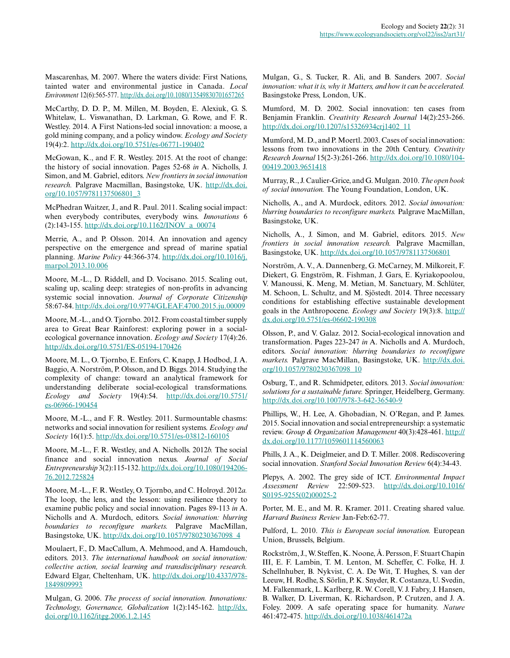Mascarenhas, M. 2007. Where the waters divide: First Nations, tainted water and environmental justice in Canada. *Local Environment* 12(6):565-577. [http://dx.doi.org/10.1080/13549830701657265](http://dx.doi.org/10.1080%2F13549830701657265)

McCarthy, D. D. P., M. Millen, M. Boyden, E. Alexiuk, G. S. Whitelaw, L. Viswanathan, D. Larkman, G. Rowe, and F. R. Westley. 2014. A First Nations-led social innovation: a moose, a gold mining company, and a policy window. *Ecology and Society* 19(4):2. [http://dx.doi.org/10.5751/es-06771-190402](http://dx.doi.org/10.5751%2Fes-06771-190402)

McGowan, K., and F. R. Westley. 2015. At the root of change: the history of social innovation. Pages 52-68 *in* A. Nicholls, J. Simon, and M. Gabriel, editors. *New frontiers in social innovation research.* Palgrave Macmillan, Basingstoke, UK. [http://dx.doi.](http://dx.doi.org/10.1057%2F9781137506801_3) [org/10.1057/9781137506801\\_3](http://dx.doi.org/10.1057%2F9781137506801_3) 

McPhedran Waitzer, J., and R. Paul. 2011. Scaling social impact: when everybody contributes, everybody wins. *Innovations* 6 (2):143-155. [http://dx.doi.org/10.1162/INOV\\_a\\_00074](http://dx.doi.org/10.1162%2FINOV_a_00074) 

Merrie, A., and P. Olsson. 2014. An innovation and agency perspective on the emergence and spread of marine spatial planning. *Marine Policy* 44:366-374. [http://dx.doi.org/10.1016/j.](http://dx.doi.org/10.1016%2Fj.marpol.2013.10.006) [marpol.2013.10.006](http://dx.doi.org/10.1016%2Fj.marpol.2013.10.006) 

Moore, M.-L., D. Riddell, and D. Vocisano. 2015. Scaling out, scaling up, scaling deep: strategies of non-profits in advancing systemic social innovation. *Journal of Corporate Citizenship* 58:67-84. [http://dx.doi.org/10.9774/GLEAF.4700.2015.ju.00009](http://dx.doi.org/10.9774%2FGLEAF.4700.2015.ju.00009)

Moore, M.-L., and O. Tjornbo. 2012. From coastal timber supply area to Great Bear Rainforest: exploring power in a socialecological governance innovation. *Ecology and Society* 17(4):26. [http://dx.doi.org/10.5751/ES-05194-170426](http://dx.doi.org/10.5751%2FES-05194-170426) 

Moore, M. L., O. Tjornbo, E. Enfors, C. Knapp, J. Hodbod, J. A. Baggio, A. Norström, P. Olsson, and D. Biggs. 2014. Studying the complexity of change: toward an analytical framework for understanding deliberate social-ecological transformations. *Ecology and Society* 19(4):54. [http://dx.doi.org/10.5751/](http://dx.doi.org/10.5751%2Fes-06966-190454) [es-06966-190454](http://dx.doi.org/10.5751%2Fes-06966-190454) 

Moore, M.-L., and F. R. Westley. 2011. Surmountable chasms: networks and social innovation for resilient systems. *Ecology and Society* 16(1):5. [http://dx.doi.org/10.5751/es-03812-160105](http://dx.doi.org/10.5751%2Fes-03812-160105)

Moore, M.-L., F. R. Westley, and A. Nicholls. 2012*b.* The social finance and social innovation nexus. *Journal of Social Entrepreneurship* 3(2):115-132. [http://dx.doi.org/10.1080/194206](http://dx.doi.org/10.1080%2F19420676.2012.725824) [76.2012.725824](http://dx.doi.org/10.1080%2F19420676.2012.725824) 

Moore, M.-L., F. R. Westley, O. Tjornbo, and C. Holroyd. 2012*a.* The loop, the lens, and the lesson: using resilience theory to examine public policy and social innovation. Pages 89-113 *in* A. Nicholls and A. Murdoch, editors. *Social innovation: blurring boundaries to reconfigure markets.* Palgrave MacMillan, Basingstoke, UK. [http://dx.doi.org/10.1057/9780230367098\\_4](http://dx.doi.org/10.1057%2F9780230367098_4)

Moulaert, F., D. MacCallum, A. Mehmood, and A. Hamdouch, editors. 2013. *The international handbook on social innovation: collective action, social learning and transdisciplinary research.* Edward Elgar, Cheltenham, UK. [http://dx.doi.org/10.4337/978](http://dx.doi.org/10.4337%2F9781849809993) [1849809993](http://dx.doi.org/10.4337%2F9781849809993)

Mulgan, G. 2006. *The process of social innovation. Innovations: Technology, Governance, Globalization* 1(2):145-162. [http://dx.](http://dx.doi.org/10.1162/itgg.2006.1.2.145) [doi.org/10.1162/itgg.2006.1.2.145](http://dx.doi.org/10.1162/itgg.2006.1.2.145) 

Mulgan, G., S. Tucker, R. Ali, and B. Sanders. 2007. *Social innovation: what it is, why it Matters, and how it can be accelerated.* Basingstoke Press, London, UK.

Mumford, M. D. 2002. Social innovation: ten cases from Benjamin Franklin. *Creativity Research Journal* 14(2):253-266. [http://dx.doi.org/10.1207/s15326934crj1402\\_11](http://dx.doi.org/10.1207%2Fs15326934crj1402_11)

Mumford, M. D., and P. Moertl. 2003. Cases of social innovation: lessons from two innovations in the 20th Century. *Creativity Research Journal* 15(2-3):261-266. [http://dx.doi.org/10.1080/104](http://dx.doi.org/10.1080%2F10400419.2003.9651418) [00419.2003.9651418](http://dx.doi.org/10.1080%2F10400419.2003.9651418) 

Murray, R., J. Caulier-Grice, and G. Mulgan. 2010. *The open book of social innovation.* The Young Foundation, London, UK.

Nicholls, A., and A. Murdock, editors. 2012. *Social innovation: blurring boundaries to reconfigure markets.* Palgrave MacMillan, Basingstoke, UK.

Nicholls, A., J. Simon, and M. Gabriel, editors. 2015. *New frontiers in social innovation research.* Palgrave Macmillan, Basingstoke, UK. [http://dx.doi.org/10.1057/9781137506801](http://dx.doi.org/10.1057%2F9781137506801)

Norström, A. V., A. Dannenberg, G. McCarney, M. Milkoreit, F. Diekert, G. Engström, R. Fishman, J. Gars, E. Kyriakopoolou, V. Manoussi, K. Meng, M. Metian, M. Sanctuary, M. Schlüter, M. Schoon, L. Schultz, and M. Sjöstedt. 2014. Three necessary conditions for establishing effective sustainable development goals in the Anthropocene. *Ecology and Society* 19(3):8. [http://](http://dx.doi.org/10.5751%2Fes-06602-190308) [dx.doi.org/10.5751/es-06602-190308](http://dx.doi.org/10.5751%2Fes-06602-190308) 

Olsson, P., and V. Galaz. 2012. Social-ecological innovation and transformation. Pages 223-247 *in* A. Nicholls and A. Murdoch, editors. *Social innovation: blurring boundaries to reconfigure markets.* Palgrave MacMillan, Basingstoke, UK. [http://dx.doi.](http://dx.doi.org/10.1057%2F9780230367098_10) [org/10.1057/9780230367098\\_10](http://dx.doi.org/10.1057%2F9780230367098_10)

Osburg, T., and R. Schmidpeter, editors. 2013. *Social innovation: solutions for a sustainable future.* Springer, Heidelberg, Germany. [http://dx.doi.org/10.1007/978-3-642-36540-9](http://dx.doi.org/10.1007%2F978-3-642-36540-9) 

Phillips, W., H. Lee, A. Ghobadian, N. O'Regan, and P. James. 2015. Social innovation and social entrepreneurship: a systematic review. *Group & Organization Management* 40(3):428-461. [http://](http://dx.doi.org/10.1177%2F1059601114560063) [dx.doi.org/10.1177/1059601114560063](http://dx.doi.org/10.1177%2F1059601114560063) 

Phills, J. A., K. Deiglmeier, and D. T. Miller. 2008. Rediscovering social innovation. *Stanford Social Innovation Review* 6(4):34-43.

Plepys, A. 2002. The grey side of ICT. *Environmental Impact Assessment Review* 22:509-523. [http://dx.doi.org/10.1016/](http://dx.doi.org/10.1016%2FS0195-9255%2802%2900025-2) [S0195-9255\(02\)00025-2](http://dx.doi.org/10.1016%2FS0195-9255%2802%2900025-2) 

Porter, M. E., and M. R. Kramer. 2011. Creating shared value. *Harvard Business Review* Jan-Feb:62-77.

Pulford, L. 2010. *This is European social innovation.* European Union, Brussels, Belgium.

Rockström, J., W. Steffen, K. Noone, Å. Persson, F. Stuart Chapin III, E. F. Lambin, T. M. Lenton, M. Scheffer, C. Folke, H. J. Schellnhuber, B. Nykvist, C. A. De Wit, T. Hughes, S. van der Leeuw, H. Rodhe, S. Sörlin, P. K. Snyder, R. Costanza, U. Svedin, M. Falkenmark, L. Karlberg, R. W. Corell, V. J. Fabry, J. Hansen, B. Walker, D. Liverman, K. Richardson, P. Crutzen, and J. A. Foley. 2009. A safe operating space for humanity. *Nature* 461:472-475. [http://dx.doi.org/10.1038/461472a](http://dx.doi.org/10.1038%2F461472a)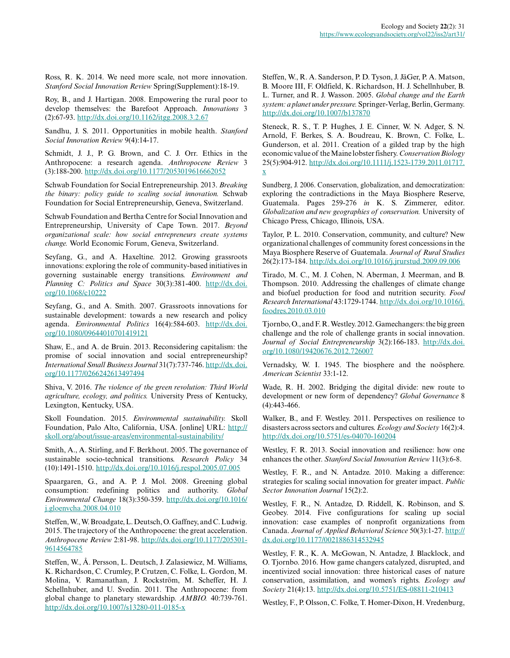Ross, R. K. 2014. We need more scale, not more innovation. *Stanford Social Innovation Review* Spring(Supplement):18-19.

Roy, B., and J. Hartigan. 2008. Empowering the rural poor to develop themselves: the Barefoot Approach. *Innovations* 3 (2):67-93. [http://dx.doi.org/10.1162/itgg.2008.3.2.67](http://dx.doi.org/10.1162%2Fitgg.2008.3.2.67)

Sandhu, J. S. 2011. Opportunities in mobile health. *Stanford Social Innovation Review* 9(4):14-17.

Schmidt, J. J., P. G. Brown, and C. J. Orr. Ethics in the Anthropocene: a research agenda. *Anthropocene Review* 3 (3):188-200. <http://dx.doi.org/10.1177/2053019616662052>

Schwab Foundation for Social Entrepreneurship. 2013. *Breaking the binary: policy guide to scaling social innovation.* Schwab Foundation for Social Entrepreneurship, Geneva, Switzerland.

Schwab Foundation and Bertha Centre for Social Innovation and Entrepreneurship, University of Cape Town. 2017. *Beyond organizational scale: how social entrepreneurs create systems change.* World Economic Forum, Geneva, Switzerland.

Seyfang, G., and A. Haxeltine. 2012. Growing grassroots innovations: exploring the role of community-based initiatives in governing sustainable energy transitions. *Environment and Planning C: Politics and Space* 30(3):381-400. [http://dx.doi.](http://dx.doi.org/10.1068%2Fc10222) [org/10.1068/c10222](http://dx.doi.org/10.1068%2Fc10222) 

Seyfang, G., and A. Smith. 2007. Grassroots innovations for sustainable development: towards a new research and policy agenda. *Environmental Politics* 16(4):584-603. [http://dx.doi.](http://dx.doi.org/10.1080%2F09644010701419121) [org/10.1080/09644010701419121](http://dx.doi.org/10.1080%2F09644010701419121) 

Shaw, E., and A. de Bruin. 2013. Reconsidering capitalism: the promise of social innovation and social entrepreneurship? *International Small Business Journal* 31(7):737-746. [http://dx.doi.](http://dx.doi.org/10.1177%2F0266242613497494) [org/10.1177/0266242613497494](http://dx.doi.org/10.1177%2F0266242613497494)

Shiva, V. 2016. *The violence of the green revolution: Third World agriculture, ecology, and politics.* University Press of Kentucky, Lexington, Kentucky, USA.

Skoll Foundation. 2015. *Environmental sustainability.* Skoll Foundation, Palo Alto, California, USA. [online] URL: [http://](http://skoll.org/about/issue-areas/environmental-sustainability/) [skoll.org/about/issue-areas/environmental-sustainability/](http://skoll.org/about/issue-areas/environmental-sustainability/) 

Smith, A., A. Stirling, and F. Berkhout. 2005. The governance of sustainable socio-technical transitions. *Research Policy* 34 (10):1491-1510. [http://dx.doi.org/10.1016/j.respol.2005.07.005](http://dx.doi.org/10.1016%2Fj.respol.2005.07.005)

Spaargaren, G., and A. P. J. Mol. 2008. Greening global consumption: redefining politics and authority. *Global Environmental Change* 18(3):350-359. [http://dx.doi.org/10.1016/](http://dx.doi.org/10.1016%2Fj.gloenvcha.2008.04.010) [j.gloenvcha.2008.04.010](http://dx.doi.org/10.1016%2Fj.gloenvcha.2008.04.010) 

Steffen, W., W. Broadgate, L. Deutsch, O. Gaffney, and C. Ludwig. 2015. The trajectory of the Anthropocene: the great acceleration. *Anthropocene Review* 2:81-98. [http://dx.doi.org/10.1177/205301](http://dx.doi.org/10.1177%2F2053019614564785) [9614564785](http://dx.doi.org/10.1177%2F2053019614564785)

Steffen, W., Å. Persson, L. Deutsch, J. Zalasiewicz, M. Williams, K. Richardson, C. Crumley, P. Crutzen, C. Folke, L. Gordon, M. Molina, V. Ramanathan, J. Rockström, M. Scheffer, H. J. Schellnhuber, and U. Svedin. 2011. The Anthropocene: from global change to planetary stewardship. *AMBIO.* 40:739-761. [http://dx.doi.org/10.1007/s13280-011-0185-x](http://dx.doi.org/10.1007%2Fs13280-011-0185-x)

Steffen, W., R. A. Sanderson, P. D. Tyson, J. JäGer, P. A. Matson, B. Moore III, F. Oldfield, K. Richardson, H. J. Schellnhuber, B. L. Turner, and R. J. Wasson. 2005. *Global change and the Earth system: a planet under pressure.* Springer-Verlag, Berlin, Germany. <http://dx.doi.org/10.1007/b137870>

Steneck, R. S., T. P. Hughes, J. E. Cinner, W. N. Adger, S. N. Arnold, F. Berkes, S. A. Boudreau, K. Brown, C. Folke, L. Gunderson, et al. 2011. Creation of a gilded trap by the high economic value of the Maine lobster fishery. *Conservation Biology* 25(5):904-912. [http://dx.doi.org/10.1111/j.1523-1739.2011.01717.](http://dx.doi.org/10.1111%2Fj.1523-1739.2011.01717.x) [x](http://dx.doi.org/10.1111%2Fj.1523-1739.2011.01717.x) 

Sundberg, J. 2006. Conservation, globalization, and democratization: exploring the contradictions in the Maya Biosphere Reserve, Guatemala. Pages 259-276 *in* K. S. Zimmerer, editor. *Globalization and new geographies of conservation.* University of Chicago Press, Chicago, Illinois, USA.

Taylor, P. L. 2010. Conservation, community, and culture? New organizational challenges of community forest concessions in the Maya Biosphere Reserve of Guatemala. *Journal of Rural Studies* 26(2):173-184. [http://dx.doi.org/10.1016/j.jrurstud.2009.09.006](http://dx.doi.org/10.1016%2Fj.jrurstud.2009.09.006)

Tirado, M. C., M. J. Cohen, N. Aberman, J. Meerman, and B. Thompson. 2010. Addressing the challenges of climate change and biofuel production for food and nutrition security. *Food Research International* 43:1729-1744. [http://dx.doi.org/10.1016/j.](http://dx.doi.org/10.1016%2Fj.foodres.2010.03.010) [foodres.2010.03.010](http://dx.doi.org/10.1016%2Fj.foodres.2010.03.010) 

Tjornbo, O., and F. R. Westley. 2012. Gamechangers: the big green challenge and the role of challenge grants in social innovation. *Journal of Social Entrepreneurship* 3(2):166-183. [http://dx.doi.](http://dx.doi.org/10.1080%2F19420676.2012.726007) [org/10.1080/19420676.2012.726007](http://dx.doi.org/10.1080%2F19420676.2012.726007)

Vernadsky, W. I. 1945. The biosphere and the noösphere. *American Scientist* 33:1-12.

Wade, R. H. 2002. Bridging the digital divide: new route to development or new form of dependency? *Global Governance* 8 (4):443-466.

Walker, B., and F. Westley. 2011. Perspectives on resilience to disasters across sectors and cultures. *Ecology and Society* 16(2):4. [http://dx.doi.org/10.5751/es-04070-160204](http://dx.doi.org/10.5751%2Fes-04070-160204)

Westley, F. R. 2013. Social innovation and resilience: how one enhances the other. *Stanford Social Innovation Review* 11(3):6-8.

Westley, F. R., and N. Antadze. 2010. Making a difference: strategies for scaling social innovation for greater impact. *Public Sector Innovation Journal* 15(2):2.

Westley, F. R., N. Antadze, D. Riddell, K. Robinson, and S. Geobey. 2014. Five configurations for scaling up social innovation: case examples of nonprofit organizations from Canada. *Journal of Applied Behavioral Science* 50(3):1-27. [http://](http://dx.doi.org/10.1177%2F0021886314532945) [dx.doi.org/10.1177/0021886314532945](http://dx.doi.org/10.1177%2F0021886314532945) 

Westley, F. R., K. A. McGowan, N. Antadze, J. Blacklock, and O. Tjornbo. 2016. How game changers catalyzed, disrupted, and incentivized social innovation: three historical cases of nature conservation, assimilation, and women's rights. *Ecology and Society* 21(4):13. [http://dx.doi.org/10.5751/ES-08811-210413](http://dx.doi.org/10.5751%2FES-08811-210413)

Westley, F., P. Olsson, C. Folke, T. Homer-Dixon, H. Vredenburg,